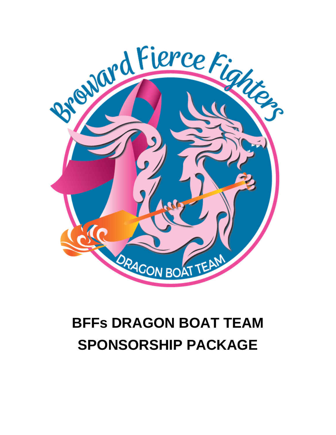

# **BFFs DRAGON BOAT TEAM SPONSORSHIP PACKAGE**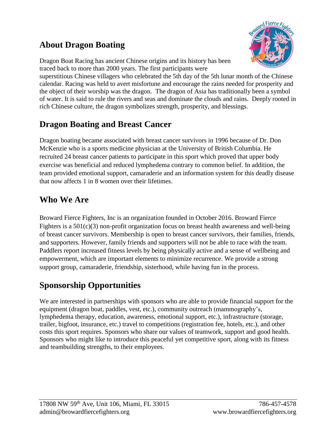## **About Dragon Boating**



Dragon Boat Racing has ancient Chinese origins and its history has been traced back to more than 2000 years. The first participants were

superstitious Chinese villagers who celebrated the 5th day of the 5th lunar month of the Chinese calendar. Racing was held to avert misfortune and encourage the rains needed for prosperity and the object of their worship was the dragon. The dragon of Asia has traditionally been a symbol of water. It is said to rule the rivers and seas and dominate the clouds and rains. Deeply rooted in rich Chinese culture, the dragon symbolizes strength, prosperity, and blessings.

## **Dragon Boating and Breast Cancer**

Dragon boating became associated with breast cancer survivors in 1996 because of Dr. Don McKenzie who is a sports medicine physician at the University of British Columbia. He recruited 24 breast cancer patients to participate in this sport which proved that upper body exercise was beneficial and reduced lymphedema contrary to common belief. In addition, the team provided emotional support, camaraderie and an information system for this deadly disease that now affects 1 in 8 women over their lifetimes.

## **Who We Are**

Broward Fierce Fighters, Inc is an organization founded in October 2016. Broward Fierce Fighters is a  $501(c)(3)$  non-profit organization focus on breast health awareness and well-being of breast cancer survivors. Membership is open to breast cancer survivors, their families, friends, and supporters. However, family friends and supporters will not be able to race with the team. Paddlers report increased fitness levels by being physically active and a sense of wellbeing and empowerment, which are important elements to minimize recurrence. We provide a strong support group, camaraderie, friendship, sisterhood, while having fun in the process.

## **Sponsorship Opportunities**

We are interested in partnerships with sponsors who are able to provide financial support for the equipment (dragon boat, paddles, vest, etc.), community outreach (mammography's, lymphedema therapy, education, awareness, emotional support, etc.), infrastructure (storage, trailer, bigfoot, insurance, etc.) travel to competitions (registration fee, hotels, etc.), and other costs this sport requires. Sponsors who share our values of teamwork, support and good health. Sponsors who might like to introduce this peaceful yet competitive sport, along with its fitness and teambuilding strengths, to their employees.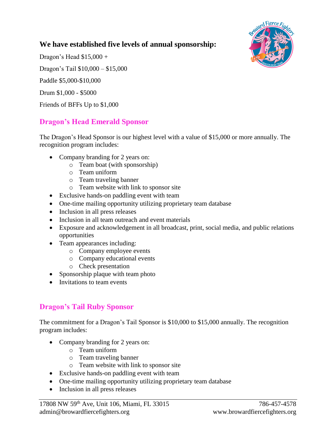#### **We have established five levels of annual sponsorship:**



Dragon's Head \$15,000 + Dragon's Tail \$10,000 – \$15,000 Paddle \$5,000-\$10,000 Drum \$1,000 - \$5000

Friends of BFFs Up to \$1,000

#### **Dragon's Head Emerald Sponsor**

The Dragon's Head Sponsor is our highest level with a value of \$15,000 or more annually. The recognition program includes:

- Company branding for 2 years on:
	- o Team boat (with sponsorship)
	- o Team uniform
	- o Team traveling banner
	- o Team website with link to sponsor site
- Exclusive hands-on paddling event with team
- One-time mailing opportunity utilizing proprietary team database
- Inclusion in all press releases
- Inclusion in all team outreach and event materials
- Exposure and acknowledgement in all broadcast, print, social media, and public relations opportunities
- Team appearances including:
	- o Company employee events
	- o Company educational events
	- o Check presentation
- Sponsorship plaque with team photo
- Invitations to team events

#### **Dragon's Tail Ruby Sponsor**

The commitment for a Dragon's Tail Sponsor is \$10,000 to \$15,000 annually. The recognition program includes:

- Company branding for 2 years on:
	- o Team uniform
	- o Team traveling banner
	- o Team website with link to sponsor site
- Exclusive hands-on paddling event with team
- One-time mailing opportunity utilizing proprietary team database
- Inclusion in all press releases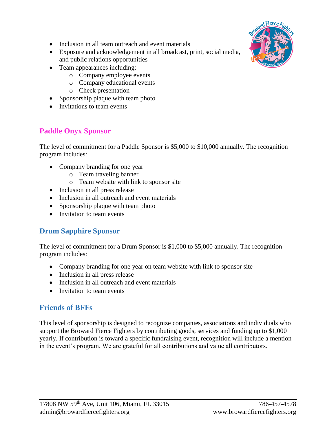- Inclusion in all team outreach and event materials
- Exposure and acknowledgement in all broadcast, print, social media, and public relations opportunities
- Team appearances including:
	- o Company employee events
	- o Company educational events
	- o Check presentation
- Sponsorship plaque with team photo
- Invitations to team events

### **Paddle Onyx Sponsor**

The level of commitment for a Paddle Sponsor is \$5,000 to \$10,000 annually. The recognition program includes:

- Company branding for one year
	- o Team traveling banner
	- o Team website with link to sponsor site
- Inclusion in all press release
- Inclusion in all outreach and event materials
- Sponsorship plaque with team photo
- Invitation to team events

#### **Drum Sapphire Sponsor**

The level of commitment for a Drum Sponsor is \$1,000 to \$5,000 annually. The recognition program includes:

- Company branding for one year on team website with link to sponsor site
- Inclusion in all press release
- Inclusion in all outreach and event materials
- Invitation to team events

#### **Friends of BFFs**

This level of sponsorship is designed to recognize companies, associations and individuals who support the Broward Fierce Fighters by contributing goods, services and funding up to \$1,000 yearly. If contribution is toward a specific fundraising event, recognition will include a mention in the event's program. We are grateful for all contributions and value all contributors.